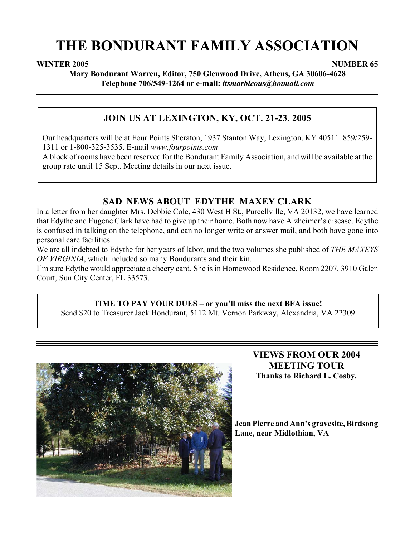# **THE BONDURANT FAMILY ASSOCIATION**

### **WINTER 2005** NUMBER 65

**Mary Bondurant Warren, Editor, 750 Glenwood Drive, Athens, GA 30606-4628 Telephone 706/549-1264 or e-mail:** *itsmarbleous@hotmail.com*

# **JOIN US AT LEXINGTON, KY, OCT. 21-23, 2005**

Our headquarters will be at Four Points Sheraton, 1937 Stanton Way, Lexington, KY 40511. 859/259- 1311 or 1-800-325-3535. E-mail *www.fourpoints.com*

A block of rooms have been reserved for the Bondurant Family Association, and will be available at the group rate until 15 Sept. Meeting details in our next issue.

# **SAD NEWS ABOUT EDYTHE MAXEY CLARK**

In a letter from her daughter Mrs. Debbie Cole, 430 West H St., Purcellville, VA 20132, we have learned that Edythe and Eugene Clark have had to give up their home. Both now have Alzheimer's disease. Edythe is confused in talking on the telephone, and can no longer write or answer mail, and both have gone into personal care facilities.

We are all indebted to Edythe for her years of labor, and the two volumes she published of *THE MAXEYS OF VIRGINIA*, which included so many Bondurants and their kin.

I'm sure Edythe would appreciate a cheery card. She is in Homewood Residence, Room 2207, 3910 Galen Court, Sun City Center, FL 33573.

### **TIME TO PAY YOUR DUES – or you'll miss the next BFA issue!**

Send \$20 to Treasurer Jack Bondurant, 5112 Mt. Vernon Parkway, Alexandria, VA 22309



# **VIEWS FROM OUR 2004 MEETING TOUR Thanks to Richard L. Cosby.**

**Jean Pierre and Ann's gravesite, Birdsong Lane, near Midlothian, VA**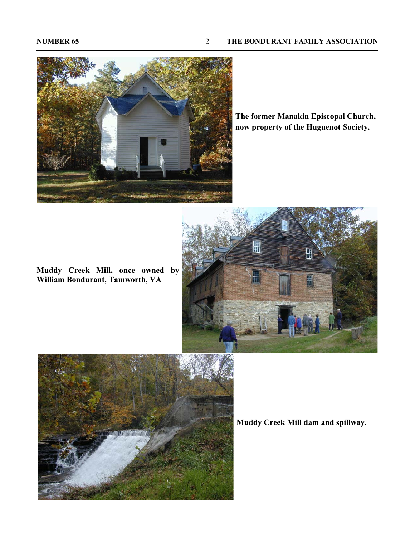

**The former Manakin Episcopal Church, now property of the Huguenot Society.**

**Muddy Creek Mill, once owned by William Bondurant, Tamworth, VA**





**Muddy Creek Mill dam and spillway.**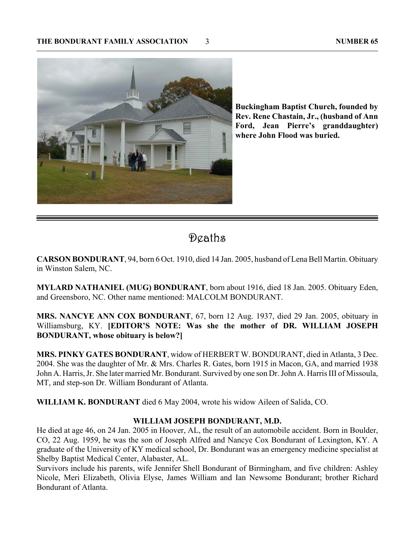

**Buckingham Baptist Church, founded by Rev. Rene Chastain, Jr., (husband of Ann Ford, Jean Pierre's granddaughter) where John Flood was buried.**

# Deaths

**CARSON BONDURANT**, 94, born 6 Oct. 1910, died 14 Jan. 2005, husband of Lena Bell Martin. Obituary in Winston Salem, NC.

**MYLARD NATHANIEL (MUG) BONDURANT**, born about 1916, died 18 Jan. 2005. Obituary Eden, and Greensboro, NC. Other name mentioned: MALCOLM BONDURANT.

**MRS. NANCYE ANN COX BONDURANT**, 67, born 12 Aug. 1937, died 29 Jan. 2005, obituary in Williamsburg, KY. **[EDITOR'S NOTE: Was she the mother of DR. WILLIAM JOSEPH BONDURANT, whose obituary is below?]**

**MRS. PINKY GATES BONDURANT**, widow of HERBERT W. BONDURANT, died in Atlanta, 3 Dec. 2004. She was the daughter of Mr. & Mrs. Charles R. Gates, born 1915 in Macon, GA, and married 1938 John A. Harris, Jr. She later married Mr. Bondurant. Survived by one son Dr. John A. Harris III of Missoula, MT, and step-son Dr. William Bondurant of Atlanta.

**WILLIAM K. BONDURANT** died 6 May 2004, wrote his widow Aileen of Salida, CO.

### **WILLIAM JOSEPH BONDURANT, M.D.**

He died at age 46, on 24 Jan. 2005 in Hoover, AL, the result of an automobile accident. Born in Boulder, CO, 22 Aug. 1959, he was the son of Joseph Alfred and Nancye Cox Bondurant of Lexington, KY. A graduate of the University of KY medical school, Dr. Bondurant was an emergency medicine specialist at Shelby Baptist Medical Center, Alabaster, AL.

Survivors include his parents, wife Jennifer Shell Bondurant of Birmingham, and five children: Ashley Nicole, Meri Elizabeth, Olivia Elyse, James William and Ian Newsome Bondurant; brother Richard Bondurant of Atlanta.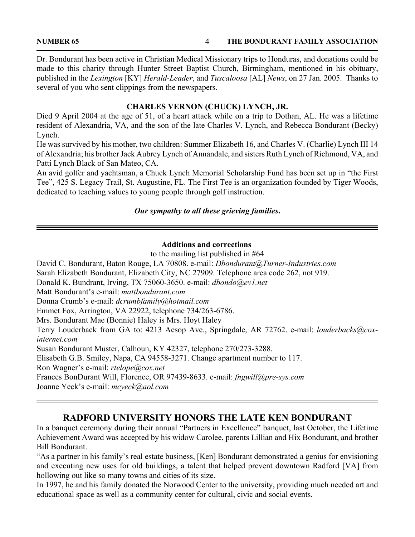**NUMBER 65 THE BONDURANT FAMILY ASSOCIATION** 4

Dr. Bondurant has been active in Christian Medical Missionary trips to Honduras, and donations could be made to this charity through Hunter Street Baptist Church, Birmingham, mentioned in his obituary, published in the *Lexington* [KY] *Herald-Leader*, and *Tuscaloosa* [AL] *News*, on 27 Jan. 2005. Thanks to several of you who sent clippings from the newspapers.

### **CHARLES VERNON (CHUCK) LYNCH, JR.**

Died 9 April 2004 at the age of 51, of a heart attack while on a trip to Dothan, AL. He was a lifetime resident of Alexandria, VA, and the son of the late Charles V. Lynch, and Rebecca Bondurant (Becky) Lynch.

He was survived by his mother, two children: Summer Elizabeth 16, and Charles V. (Charlie) Lynch III 14 of Alexandria; his brother Jack Aubrey Lynch of Annandale, and sisters Ruth Lynch of Richmond, VA, and Patti Lynch Black of San Mateo, CA.

An avid golfer and yachtsman, a Chuck Lynch Memorial Scholarship Fund has been set up in "the First Tee", 425 S. Legacy Trail, St. Augustine, FL. The First Tee is an organization founded by Tiger Woods, dedicated to teaching values to young people through golf instruction.

### *Our sympathy to all these grieving families***.**

### **Additions and corrections**

to the mailing list published in #64

David C. Bondurant, Baton Rouge, LA 70808. e-mail: *Dbondurant@Turner-Industries.com* Sarah Elizabeth Bondurant, Elizabeth City, NC 27909. Telephone area code 262, not 919. Donald K. Bundrant, Irving, TX 75060-3650. e-mail: *dbondo@ev1.net* Matt Bondurant's e-mail: *mattbondurant.com* Donna Crumb's e-mail: *dcrumbfamily@hotmail.com* Emmet Fox, Arrington, VA 22922, telephone 734/263-6786. Mrs. Bondurant Mae (Bonnie) Haley is Mrs. Hoyt Haley Terry Louderback from GA to: 4213 Aesop Ave., Springdale, AR 72762. e-mail: *louderbacks@coxinternet.com* Susan Bondurant Muster, Calhoun, KY 42327, telephone 270/273-3288. Elisabeth G.B. Smiley, Napa, CA 94558-3271. Change apartment number to 117. Ron Wagner's e-mail: *rtelope@cox.net* Frances BonDurant Will, Florence, OR 97439-8633. e-mail: *fngwill@pre-sys.com* Joanne Yeck's e-mail: *mcyeck@aol.com*

# **RADFORD UNIVERSITY HONORS THE LATE KEN BONDURANT**

In a banquet ceremony during their annual "Partners in Excellence" banquet, last October, the Lifetime Achievement Award was accepted by his widow Carolee, parents Lillian and Hix Bondurant, and brother Bill Bondurant.

"As a partner in his family's real estate business, [Ken] Bondurant demonstrated a genius for envisioning and executing new uses for old buildings, a talent that helped prevent downtown Radford [VA] from hollowing out like so many towns and cities of its size.

In 1997, he and his family donated the Norwood Center to the university, providing much needed art and educational space as well as a community center for cultural, civic and social events.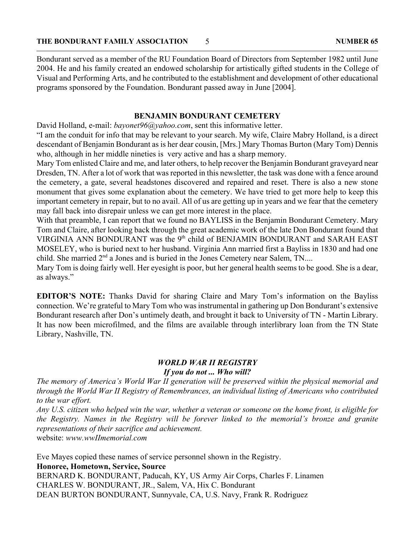Bondurant served as a member of the RU Foundation Board of Directors from September 1982 until June 2004. He and his family created an endowed scholarship for artistically gifted students in the College of Visual and Performing Arts, and he contributed to the establishment and development of other educational programs sponsored by the Foundation. Bondurant passed away in June [2004].

### **BENJAMIN BONDURANT CEMETERY**

David Holland, e-mail: *bayonet96@yahoo.com*, sent this informative letter.

"I am the conduit for info that may be relevant to your search. My wife, Claire Mabry Holland, is a direct descendant of Benjamin Bondurant as is her dear cousin, [Mrs.] Mary Thomas Burton (Mary Tom) Dennis who, although in her middle nineties is very active and has a sharp memory.

Mary Tom enlisted Claire and me, and later others, to help recover the Benjamin Bondurant graveyard near Dresden, TN. After a lot of work that was reported in this newsletter, the task was done with a fence around the cemetery, a gate, several headstones discovered and repaired and reset. There is also a new stone monument that gives some explanation about the cemetery. We have tried to get more help to keep this important cemetery in repair, but to no avail. All of us are getting up in years and we fear that the cemetery may fall back into disrepair unless we can get more interest in the place.

With that preamble, I can report that we found no BAYLISS in the Benjamin Bondurant Cemetery. Mary Tom and Claire, after looking back through the great academic work of the late Don Bondurant found that VIRGINIA ANN BONDURANT was the 9<sup>th</sup> child of BENJAMIN BONDURANT and SARAH EAST MOSELEY, who is buried next to her husband. Virginia Ann married first a Bayliss in 1830 and had one child. She married 2<sup>nd</sup> a Jones and is buried in the Jones Cemetery near Salem, TN....

Mary Tom is doing fairly well. Her eyesight is poor, but her general health seems to be good. She is a dear, as always."

**EDITOR'S NOTE:** Thanks David for sharing Claire and Mary Tom's information on the Bayliss connection. We're grateful to Mary Tom who was instrumental in gathering up Don Bondurant's extensive Bondurant research after Don's untimely death, and brought it back to University of TN - Martin Library. It has now been microfilmed, and the films are available through interlibrary loan from the TN State Library, Nashville, TN.

## *WORLD WAR II REGISTRY If you do not ... Who will?*

*The memory of America's World War II generation will be preserved within the physical memorial and through the World War II Registry of Remembrances, an individual listing of Americans who contributed to the war effort.*

*Any U.S. citizen who helped win the war, whether a veteran or someone on the home front, is eligible for the Registry. Names in the Registry will be forever linked to the memorial's bronze and granite representations of their sacrifice and achievement.*

website: *www.wwIImemorial.com*

Eve Mayes copied these names of service personnel shown in the Registry.

### **Honoree, Hometown, Service, Source**

BERNARD K. BONDURANT, Paducah, KY, US Army Air Corps, Charles F. Linamen CHARLES W. BONDURANT, JR., Salem, VA, Hix C. Bondurant DEAN BURTON BONDURANT, Sunnyvale, CA, U.S. Navy, Frank R. Rodriguez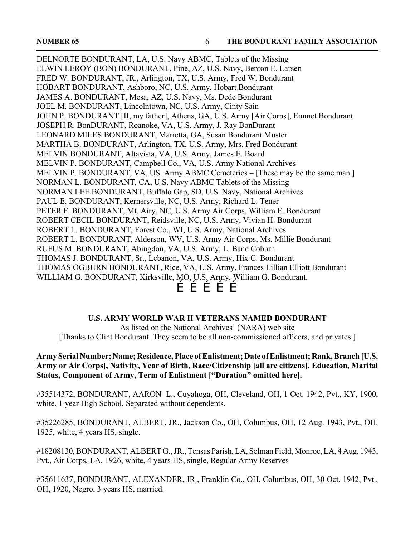DELNORTE BONDURANT, LA, U.S. Navy ABMC, Tablets of the Missing ELWIN LEROY (BON) BONDURANT, Pine, AZ, U.S. Navy, Benton E. Larsen FRED W. BONDURANT, JR., Arlington, TX, U.S. Army, Fred W. Bondurant HOBART BONDURANT, Ashboro, NC, U.S. Army, Hobart Bondurant JAMES A. BONDURANT, Mesa, AZ, U.S. Navy, Ms. Dede Bondurant JOEL M. BONDURANT, Lincolntown, NC, U.S. Army, Cinty Sain JOHN P. BONDURANT [II, my father], Athens, GA, U.S. Army [Air Corps], Emmet Bondurant JOSEPH R. BonDURANT, Roanoke, VA, U.S. Army, J. Ray BonDurant LEONARD MILES BONDURANT, Marietta, GA, Susan Bondurant Muster MARTHA B. BONDURANT, Arlington, TX, U.S. Army, Mrs. Fred Bondurant MELVIN BONDURANT, Altavista, VA, U.S. Army, James E. Board MELVIN P. BONDURANT, Campbell Co., VA, U.S. Army National Archives MELVIN P. BONDURANT, VA, US. Army ABMC Cemeteries – [These may be the same man.] NORMAN L. BONDURANT, CA, U.S. Navy ABMC Tablets of the Missing NORMAN LEE BONDURANT, Buffalo Gap, SD, U.S. Navy, National Archives PAUL E. BONDURANT, Kernersville, NC, U.S. Army, Richard L. Tener PETER F. BONDURANT, Mt. Airy, NC, U.S. Army Air Corps, William E. Bondurant ROBERT CECIL BONDURANT, Reidsville, NC, U.S. Army, Vivian H. Bondurant ROBERT L. BONDURANT, Forest Co., WI, U.S. Army, National Archives ROBERT L. BONDURANT, Alderson, WV, U.S. Army Air Corps, Ms. Millie Bondurant RUFUS M. BONDURANT, Abingdon, VA, U.S. Army, L. Bane Coburn THOMAS J. BONDURANT, Sr., Lebanon, VA, U.S. Army, Hix C. Bondurant THOMAS OGBURN BONDURANT, Rice, VA, U.S. Army, Frances Lillian Elliott Bondurant WILLIAM G. BONDURANT, Kirksville, MO, U.S. Army, William G. Bondurant. ÉÉÉÉÉ

### **U.S. ARMY WORLD WAR II VETERANS NAMED BONDURANT**

As listed on the National Archives' (NARA) web site [Thanks to Clint Bondurant. They seem to be all non-commissioned officers, and privates.]

### **Army Serial Number; Name; Residence, Place of Enlistment; Date of Enlistment; Rank, Branch [U.S. Army or Air Corps], Nativity, Year of Birth, Race/Citizenship [all are citizens], Education, Marital Status, Component of Army, Term of Enlistment ["Duration" omitted here].**

#35514372, BONDURANT, AARON L., Cuyahoga, OH, Cleveland, OH, 1 Oct. 1942, Pvt., KY, 1900, white, 1 year High School, Separated without dependents.

#35226285, BONDURANT, ALBERT, JR., Jackson Co., OH, Columbus, OH, 12 Aug. 1943, Pvt., OH, 1925, white, 4 years HS, single.

#18208130, BONDURANT, ALBERT G., JR., Tensas Parish, LA, Selman Field, Monroe, LA, 4 Aug. 1943, Pvt., Air Corps, LA, 1926, white, 4 years HS, single, Regular Army Reserves

#35611637, BONDURANT, ALEXANDER, JR., Franklin Co., OH, Columbus, OH, 30 Oct. 1942, Pvt., OH, 1920, Negro, 3 years HS, married.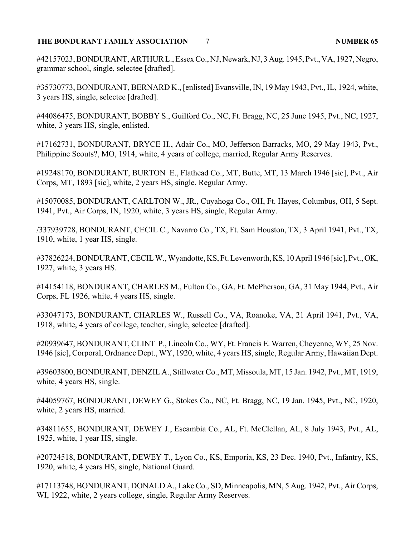### **THE BONDURANT FAMILY ASSOCIATION NUMBER 65** 7

#42157023, BONDURANT, ARTHUR L., Essex Co., NJ, Newark, NJ, 3 Aug. 1945, Pvt., VA, 1927, Negro, grammar school, single, selectee [drafted].

#35730773, BONDURANT, BERNARD K., [enlisted] Evansville, IN, 19 May 1943, Pvt., IL, 1924, white, 3 years HS, single, selectee [drafted].

#44086475, BONDURANT, BOBBY S., Guilford Co., NC, Ft. Bragg, NC, 25 June 1945, Pvt., NC, 1927, white, 3 years HS, single, enlisted.

#17162731, BONDURANT, BRYCE H., Adair Co., MO, Jefferson Barracks, MO, 29 May 1943, Pvt., Philippine Scouts?, MO, 1914, white, 4 years of college, married, Regular Army Reserves.

#19248170, BONDURANT, BURTON E., Flathead Co., MT, Butte, MT, 13 March 1946 [sic], Pvt., Air Corps, MT, 1893 [sic], white, 2 years HS, single, Regular Army.

#15070085, BONDURANT, CARLTON W., JR., Cuyahoga Co., OH, Ft. Hayes, Columbus, OH, 5 Sept. 1941, Pvt., Air Corps, IN, 1920, white, 3 years HS, single, Regular Army.

/337939728, BONDURANT, CECIL C., Navarro Co., TX, Ft. Sam Houston, TX, 3 April 1941, Pvt., TX, 1910, white, 1 year HS, single.

#37826224, BONDURANT, CECIL W., Wyandotte, KS, Ft. Levenworth, KS, 10 April 1946 [sic], Pvt., OK, 1927, white, 3 years HS.

#14154118, BONDURANT, CHARLES M., Fulton Co., GA, Ft. McPherson, GA, 31 May 1944, Pvt., Air Corps, FL 1926, white, 4 years HS, single.

#33047173, BONDURANT, CHARLES W., Russell Co., VA, Roanoke, VA, 21 April 1941, Pvt., VA, 1918, white, 4 years of college, teacher, single, selectee [drafted].

#20939647, BONDURANT, CLINT P., Lincoln Co., WY, Ft. Francis E. Warren, Cheyenne, WY, 25 Nov. 1946 [sic], Corporal, Ordnance Dept., WY, 1920, white, 4 years HS, single, Regular Army, Hawaiian Dept.

#39603800, BONDURANT, DENZIL A., Stillwater Co., MT, Missoula, MT, 15 Jan. 1942, Pvt., MT, 1919, white, 4 years HS, single.

#44059767, BONDURANT, DEWEY G., Stokes Co., NC, Ft. Bragg, NC, 19 Jan. 1945, Pvt., NC, 1920, white, 2 years HS, married.

#34811655, BONDURANT, DEWEY J., Escambia Co., AL, Ft. McClellan, AL, 8 July 1943, Pvt., AL, 1925, white, 1 year HS, single.

#20724518, BONDURANT, DEWEY T., Lyon Co., KS, Emporia, KS, 23 Dec. 1940, Pvt., Infantry, KS, 1920, white, 4 years HS, single, National Guard.

#17113748, BONDURANT, DONALD A., Lake Co., SD, Minneapolis, MN, 5 Aug. 1942, Pvt., Air Corps, WI, 1922, white, 2 years college, single, Regular Army Reserves.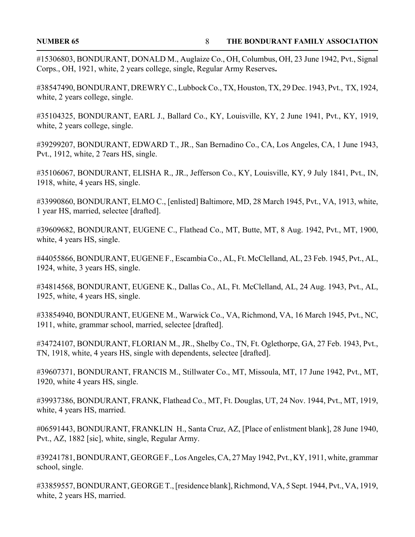#15306803, BONDURANT, DONALD M., Auglaize Co., OH, Columbus, OH, 23 June 1942, Pvt., Signal Corps., OH, 1921, white, 2 years college, single, Regular Army Reserves**.**

#38547490, BONDURANT, DREWRY C., Lubbock Co., TX, Houston, TX, 29 Dec. 1943, Pvt., TX, 1924, white, 2 years college, single.

#35104325, BONDURANT, EARL J., Ballard Co., KY, Louisville, KY, 2 June 1941, Pvt., KY, 1919, white, 2 years college, single.

#39299207, BONDURANT, EDWARD T., JR., San Bernadino Co., CA, Los Angeles, CA, 1 June 1943, Pvt., 1912, white, 2 7ears HS, single.

#35106067, BONDURANT, ELISHA R., JR., Jefferson Co., KY, Louisville, KY, 9 July 1841, Pvt., IN, 1918, white, 4 years HS, single.

#33990860, BONDURANT, ELMO C., [enlisted] Baltimore, MD, 28 March 1945, Pvt., VA, 1913, white, 1 year HS, married, selectee [drafted].

#39609682, BONDURANT, EUGENE C., Flathead Co., MT, Butte, MT, 8 Aug. 1942, Pvt., MT, 1900, white, 4 years HS, single.

#44055866, BONDURANT, EUGENE F., Escambia Co., AL, Ft. McClelland, AL, 23 Feb. 1945, Pvt., AL, 1924, white, 3 years HS, single.

#34814568, BONDURANT, EUGENE K., Dallas Co., AL, Ft. McClelland, AL, 24 Aug. 1943, Pvt., AL, 1925, white, 4 years HS, single.

#33854940, BONDURANT, EUGENE M., Warwick Co., VA, Richmond, VA, 16 March 1945, Pvt., NC, 1911, white, grammar school, married, selectee [drafted].

#34724107, BONDURANT, FLORIAN M., JR., Shelby Co., TN, Ft. Oglethorpe, GA, 27 Feb. 1943, Pvt., TN, 1918, white, 4 years HS, single with dependents, selectee [drafted].

#39607371, BONDURANT, FRANCIS M., Stillwater Co., MT, Missoula, MT, 17 June 1942, Pvt., MT, 1920, white 4 years HS, single.

#39937386, BONDURANT, FRANK, Flathead Co., MT, Ft. Douglas, UT, 24 Nov. 1944, Pvt., MT, 1919, white, 4 years HS, married.

#06591443, BONDURANT, FRANKLIN H., Santa Cruz, AZ, [Place of enlistment blank], 28 June 1940, Pvt., AZ, 1882 [sic], white, single, Regular Army.

#39241781, BONDURANT, GEORGE F., Los Angeles, CA, 27 May 1942, Pvt., KY, 1911, white, grammar school, single.

#33859557, BONDURANT, GEORGE T., [residence blank], Richmond, VA, 5 Sept. 1944, Pvt., VA, 1919, white, 2 years HS, married.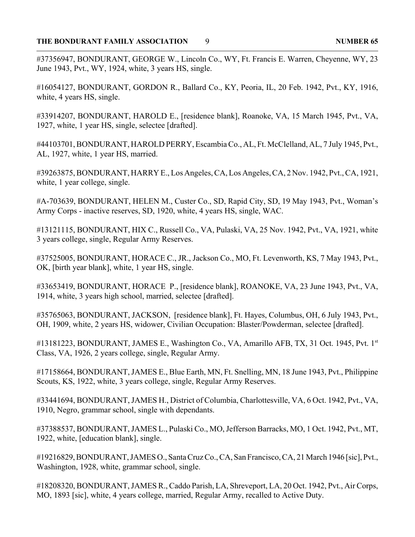### THE BONDURANT FAMILY ASSOCIATION 9

#37356947, BONDURANT, GEORGE W., Lincoln Co., WY, Ft. Francis E. Warren, Cheyenne, WY, 23 June 1943, Pvt., WY, 1924, white, 3 years HS, single.

#16054127, BONDURANT, GORDON R., Ballard Co., KY, Peoria, IL, 20 Feb. 1942, Pvt., KY, 1916, white, 4 years HS, single.

#33914207, BONDURANT, HAROLD E., [residence blank], Roanoke, VA, 15 March 1945, Pvt., VA, 1927, white, 1 year HS, single, selectee [drafted].

#44103701, BONDURANT, HAROLD PERRY, Escambia Co., AL, Ft. McClelland, AL, 7 July 1945, Pvt., AL, 1927, white, 1 year HS, married.

#39263875, BONDURANT, HARRY E., Los Angeles, CA, Los Angeles, CA, 2 Nov. 1942, Pvt., CA, 1921, white, 1 year college, single.

#A-703639, BONDURANT, HELEN M., Custer Co., SD, Rapid City, SD, 19 May 1943, Pvt., Woman's Army Corps - inactive reserves, SD, 1920, white, 4 years HS, single, WAC.

#13121115, BONDURANT, HIX C., Russell Co., VA, Pulaski, VA, 25 Nov. 1942, Pvt., VA, 1921, white 3 years college, single, Regular Army Reserves.

#37525005, BONDURANT, HORACE C., JR., Jackson Co., MO, Ft. Levenworth, KS, 7 May 1943, Pvt., OK, [birth year blank], white, 1 year HS, single.

#33653419, BONDURANT, HORACE P., [residence blank], ROANOKE, VA, 23 June 1943, Pvt., VA, 1914, white, 3 years high school, married, selectee [drafted].

#35765063, BONDURANT, JACKSON, [residence blank], Ft. Hayes, Columbus, OH, 6 July 1943, Pvt., OH, 1909, white, 2 years HS, widower, Civilian Occupation: Blaster/Powderman, selectee [drafted].

#13181223, BONDURANT, JAMES E., Washington Co., VA, Amarillo AFB, TX, 31 Oct. 1945, Pvt. 1st Class, VA, 1926, 2 years college, single, Regular Army.

#17158664, BONDURANT, JAMES E., Blue Earth, MN, Ft. Snelling, MN, 18 June 1943, Pvt., Philippine Scouts, KS, 1922, white, 3 years college, single, Regular Army Reserves.

#33441694, BONDURANT, JAMES H., District of Columbia, Charlottesville, VA, 6 Oct. 1942, Pvt., VA, 1910, Negro, grammar school, single with dependants.

#37388537, BONDURANT, JAMES L., Pulaski Co., MO, Jefferson Barracks, MO, 1 Oct. 1942, Pvt., MT, 1922, white, [education blank], single.

#19216829, BONDURANT, JAMES O., Santa Cruz Co., CA, San Francisco, CA, 21 March 1946 [sic], Pvt., Washington, 1928, white, grammar school, single.

#18208320, BONDURANT, JAMES R., Caddo Parish, LA, Shreveport, LA, 20 Oct. 1942, Pvt., Air Corps, MO, 1893 [sic], white, 4 years college, married, Regular Army, recalled to Active Duty.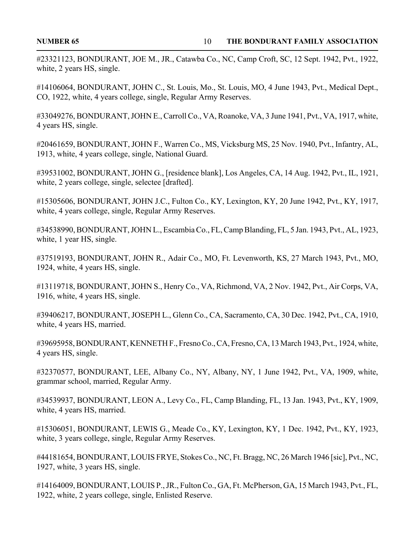#23321123, BONDURANT, JOE M., JR., Catawba Co., NC, Camp Croft, SC, 12 Sept. 1942, Pvt., 1922, white, 2 years HS, single.

#14106064, BONDURANT, JOHN C., St. Louis, Mo., St. Louis, MO, 4 June 1943, Pvt., Medical Dept., CO, 1922, white, 4 years college, single, Regular Army Reserves.

#33049276, BONDURANT, JOHN E., Carroll Co., VA, Roanoke, VA, 3 June 1941, Pvt., VA, 1917, white, 4 years HS, single.

#20461659, BONDURANT, JOHN F., Warren Co., MS, Vicksburg MS, 25 Nov. 1940, Pvt., Infantry, AL, 1913, white, 4 years college, single, National Guard.

#39531002, BONDURANT, JOHN G., [residence blank], Los Angeles, CA, 14 Aug. 1942, Pvt., IL, 1921, white, 2 years college, single, selectee [drafted].

#15305606, BONDURANT, JOHN J.C., Fulton Co., KY, Lexington, KY, 20 June 1942, Pvt., KY, 1917, white, 4 years college, single, Regular Army Reserves.

#34538990, BONDURANT, JOHN L., Escambia Co., FL, Camp Blanding, FL, 5 Jan. 1943, Pvt., AL, 1923, white, 1 year HS, single.

#37519193, BONDURANT, JOHN R., Adair Co., MO, Ft. Levenworth, KS, 27 March 1943, Pvt., MO, 1924, white, 4 years HS, single.

#13119718, BONDURANT, JOHN S., Henry Co., VA, Richmond, VA, 2 Nov. 1942, Pvt., Air Corps, VA, 1916, white, 4 years HS, single.

#39406217, BONDURANT, JOSEPH L., Glenn Co., CA, Sacramento, CA, 30 Dec. 1942, Pvt., CA, 1910, white, 4 years HS, married.

#39695958, BONDURANT, KENNETH F., Fresno Co., CA, Fresno, CA, 13 March 1943, Pvt., 1924, white, 4 years HS, single.

#32370577, BONDURANT, LEE, Albany Co., NY, Albany, NY, 1 June 1942, Pvt., VA, 1909, white, grammar school, married, Regular Army.

#34539937, BONDURANT, LEON A., Levy Co., FL, Camp Blanding, FL, 13 Jan. 1943, Pvt., KY, 1909, white, 4 years HS, married.

#15306051, BONDURANT, LEWIS G., Meade Co., KY, Lexington, KY, 1 Dec. 1942, Pvt., KY, 1923, white, 3 years college, single, Regular Army Reserves.

#44181654, BONDURANT, LOUIS FRYE, Stokes Co., NC, Ft. Bragg, NC, 26 March 1946 [sic], Pvt., NC, 1927, white, 3 years HS, single.

#14164009, BONDURANT, LOUIS P., JR., Fulton Co., GA, Ft. McPherson, GA, 15 March 1943, Pvt., FL, 1922, white, 2 years college, single, Enlisted Reserve.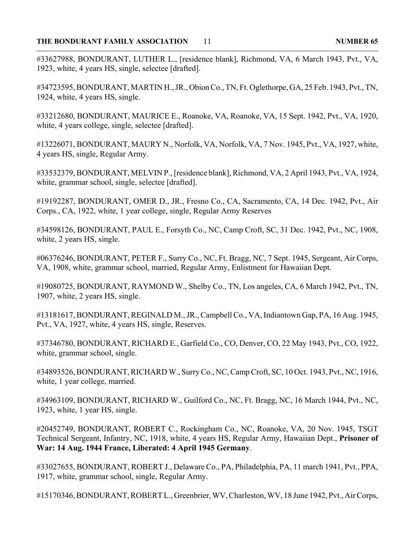### **THE BONDURANT FAMILY ASSOCIATION NUMBER 65** 11

#33627988, BONDURANT, LUTHER L., [residence blank], Richmond, VA, 6 March 1943, Pvt., VA, 1923, white, 4 years HS, single, selectee [drafted].

#34723595, BONDURANT, MARTIN H., JR., Obion Co., TN, Ft. Oglethorpe, GA, 25 Feb. 1943, Pvt., TN, 1924, white, 4 years HS, single.

#33212680, BONDURANT, MAURICE E., Roanoke, VA, Roanoke, VA, 15 Sept. 1942, Pvt., VA, 1920, white, 4 years college, single, selectee [drafted].

#13226071, BONDURANT, MAURY N., Norfolk, VA, Norfolk, VA, 7 Nov. 1945, Pvt., VA, 1927, white, 4 years HS, single, Regular Army.

#33532379, BONDURANT, MELVIN P., [residence blank], Richmond, VA, 2 April 1943, Pvt., VA, 1924, white, grammar school, single, selectee [drafted].

#19192287, BONDURANT, OMER D., JR., Fresno Co., CA, Sacramento, CA, 14 Dec. 1942, Pvt., Air Corps., CA, 1922, white, 1 year college, single, Regular Army Reserves

#34598126, BONDURANT, PAUL E., Forsyth Co., NC, Camp Croft, SC, 31 Dec. 1942, Pvt., NC, 1908, white, 2 years HS, single.

#06376246, BONDURANT, PETER F., Surry Co., NC, Ft. Bragg, NC, 7 Sept. 1945, Sergeant, Air Corps, VA, 1908, white, grammar school, married, Regular Army, Enlistment for Hawaiian Dept.

#19080725, BONDURANT, RAYMOND W., Shelby Co., TN, Los angeles, CA, 6 March 1942, Pvt., TN, 1907, white, 2 years HS, single.

#13181617, BONDURANT, REGINALD M., JR., Campbell Co., VA, Indiantown Gap, PA, 16 Aug. 1945, Pvt., VA, 1927, white, 4 years HS, single, Reserves.

#37346780, BONDURANT, RICHARD E., Garfield Co., CO, Denver, CO, 22 May 1943, Pvt., CO, 1922, white, grammar school, single.

#34893526, BONDURANT, RICHARD W., Surry Co., NC, Camp Croft, SC, 10 Oct. 1943, Pvt., NC, 1916, white, 1 year college, married.

#34963109, BONDURANT, RICHARD W., Guilford Co., NC, Ft. Bragg, NC, 16 March 1944, Pvt., NC, 1923, white, 1 year HS, single.

#20452749, BONDURANT, ROBERT C., Rockingham Co., NC, Roanoke, VA, 20 Nov. 1945, TSGT Technical Sergeant, Infantry, NC, 1918, white, 4 years HS, Regular Army, Hawaiian Dept., **Prisoner of War: 14 Aug. 1944 France, Liberated: 4 April 1945 Germany**.

#33027655, BONDURANT, ROBERT J., Delaware Co., PA, Philadelphia, PA, 11 march 1941, Pvt., PPA, 1917, white, grammar school, single, Regular Army.

#15170346, BONDURANT, ROBERT L., Greenbrier, WV, Charleston, WV, 18 June 1942, Pvt., Air Corps,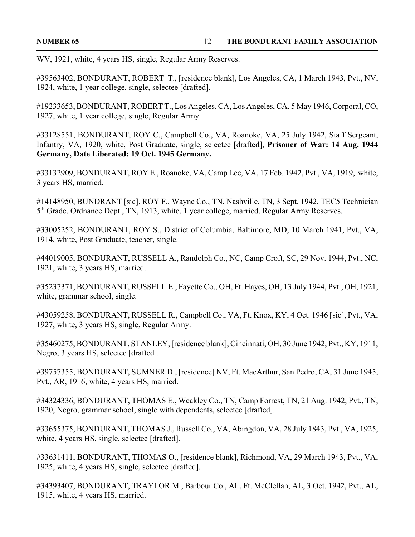WV, 1921, white, 4 years HS, single, Regular Army Reserves.

#39563402, BONDURANT, ROBERT T., [residence blank], Los Angeles, CA, 1 March 1943, Pvt., NV, 1924, white, 1 year college, single, selectee [drafted].

#19233653, BONDURANT, ROBERT T., Los Angeles, CA, Los Angeles, CA, 5 May 1946, Corporal, CO, 1927, white, 1 year college, single, Regular Army.

#33128551, BONDURANT, ROY C., Campbell Co., VA, Roanoke, VA, 25 July 1942, Staff Sergeant, Infantry, VA, 1920, white, Post Graduate, single, selectee [drafted], **Prisoner of War: 14 Aug. 1944 Germany, Date Liberated: 19 Oct. 1945 Germany.**

#33132909, BONDURANT, ROY E., Roanoke, VA, Camp Lee, VA, 17 Feb. 1942, Pvt., VA, 1919, white, 3 years HS, married.

#14148950, BUNDRANT [sic], ROY F., Wayne Co., TN, Nashville, TN, 3 Sept. 1942, TEC5 Technician 5<sup>th</sup> Grade, Ordnance Dept., TN, 1913, white, 1 year college, married, Regular Army Reserves.

#33005252, BONDURANT, ROY S., District of Columbia, Baltimore, MD, 10 March 1941, Pvt., VA, 1914, white, Post Graduate, teacher, single.

#44019005, BONDURANT, RUSSELL A., Randolph Co., NC, Camp Croft, SC, 29 Nov. 1944, Pvt., NC, 1921, white, 3 years HS, married.

#35237371, BONDURANT, RUSSELL E., Fayette Co., OH, Ft. Hayes, OH, 13 July 1944, Pvt., OH, 1921, white, grammar school, single.

#43059258, BONDURANT, RUSSELL R., Campbell Co., VA, Ft. Knox, KY, 4 Oct. 1946 [sic], Pvt., VA, 1927, white, 3 years HS, single, Regular Army.

#35460275, BONDURANT, STANLEY, [residence blank], Cincinnati, OH, 30 June 1942, Pvt., KY, 1911, Negro, 3 years HS, selectee [drafted].

#39757355, BONDURANT, SUMNER D., [residence] NV, Ft. MacArthur, San Pedro, CA, 31 June 1945, Pvt., AR, 1916, white, 4 years HS, married.

#34324336, BONDURANT, THOMAS E., Weakley Co., TN, Camp Forrest, TN, 21 Aug. 1942, Pvt., TN, 1920, Negro, grammar school, single with dependents, selectee [drafted].

#33655375, BONDURANT, THOMAS J., Russell Co., VA, Abingdon, VA, 28 July 1843, Pvt., VA, 1925, white, 4 years HS, single, selectee [drafted].

#33631411, BONDURANT, THOMAS O., [residence blank], Richmond, VA, 29 March 1943, Pvt., VA, 1925, white, 4 years HS, single, selectee [drafted].

#34393407, BONDURANT, TRAYLOR M., Barbour Co., AL, Ft. McClellan, AL, 3 Oct. 1942, Pvt., AL, 1915, white, 4 years HS, married.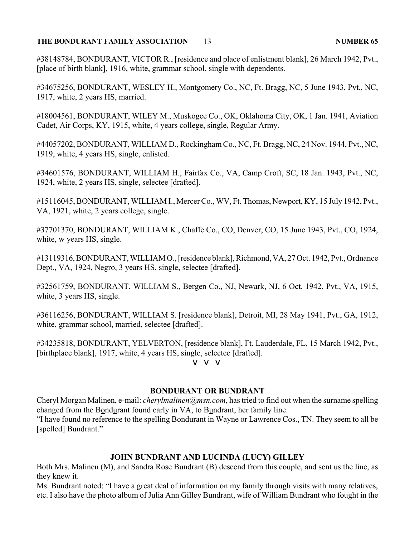#38148784, BONDURANT, VICTOR R., [residence and place of enlistment blank], 26 March 1942, Pvt., [place of birth blank], 1916, white, grammar school, single with dependents.

#34675256, BONDURANT, WESLEY H., Montgomery Co., NC, Ft. Bragg, NC, 5 June 1943, Pvt., NC, 1917, white, 2 years HS, married.

#18004561, BONDURANT, WILEY M., Muskogee Co., OK, Oklahoma City, OK, 1 Jan. 1941, Aviation Cadet, Air Corps, KY, 1915, white, 4 years college, single, Regular Army.

#44057202, BONDURANT, WILLIAM D., Rockingham Co., NC, Ft. Bragg, NC, 24 Nov. 1944, Pvt., NC, 1919, white, 4 years HS, single, enlisted.

#34601576, BONDURANT, WILLIAM H., Fairfax Co., VA, Camp Croft, SC, 18 Jan. 1943, Pvt., NC, 1924, white, 2 years HS, single, selectee [drafted].

#15116045, BONDURANT, WILLIAM I., Mercer Co., WV, Ft. Thomas, Newport, KY, 15 July 1942, Pvt., VA, 1921, white, 2 years college, single.

#37701370, BONDURANT, WILLIAM K., Chaffe Co., CO, Denver, CO, 15 June 1943, Pvt., CO, 1924, white, w years HS, single.

#13119316, BONDURANT, WILLIAM O., [residence blank], Richmond, VA, 27 Oct. 1942, Pvt., Ordnance Dept., VA, 1924, Negro, 3 years HS, single, selectee [drafted].

#32561759, BONDURANT, WILLIAM S., Bergen Co., NJ, Newark, NJ, 6 Oct. 1942, Pvt., VA, 1915, white, 3 years HS, single.

#36116256, BONDURANT, WILLIAM S. [residence blank], Detroit, MI, 28 May 1941, Pvt., GA, 1912, white, grammar school, married, selectee [drafted].

#34235818, BONDURANT, YELVERTON, [residence blank], Ft. Lauderdale, FL, 15 March 1942, Pvt., [birthplace blank], 1917, white, 4 years HS, single, selectee [drafted].

v v v

### **BONDURANT OR BUNDRANT**

Cheryl Morgan Malinen, e-mail: *cherylmalinen@msn.com*, has tried to find out when the surname spelling changed from the Bondurant found early in VA, to Bundrant, her family line.

"I have found no reference to the spelling Bondurant in Wayne or Lawrence Cos., TN. They seem to all be [spelled] Bundrant."

### **JOHN BUNDRANT AND LUCINDA (LUCY) GILLEY**

Both Mrs. Malinen (M), and Sandra Rose Bundrant (B) descend from this couple, and sent us the line, as they knew it.

Ms. Bundrant noted: "I have a great deal of information on my family through visits with many relatives, etc. I also have the photo album of Julia Ann Gilley Bundrant, wife of William Bundrant who fought in the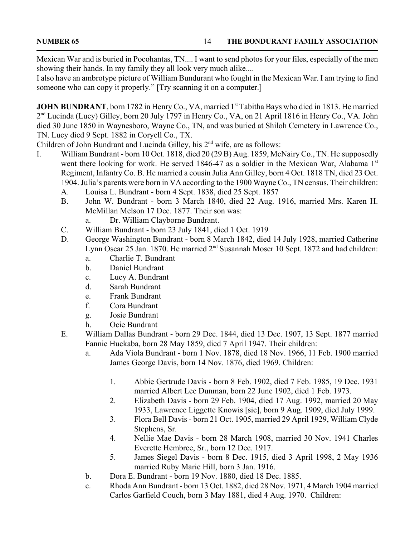Mexican War and is buried in Pocohantas, TN.... I want to send photos for your files, especially of the men showing their hands. In my family they all look very much alike....

I also have an ambrotype picture of William Bundurant who fought in the Mexican War. I am trying to find someone who can copy it properly." [Try scanning it on a computer.]

**JOHN BUNDRANT**, born 1782 in Henry Co., VA, married 1<sup>st</sup> Tabitha Bays who died in 1813. He married 2nd Lucinda (Lucy) Gilley, born 20 July 1797 in Henry Co., VA, on 21 April 1816 in Henry Co., VA. John died 30 June 1850 in Waynesboro, Wayne Co., TN, and was buried at Shiloh Cemetery in Lawrence Co., TN. Lucy died 9 Sept. 1882 in Coryell Co., TX.

Children of John Bundrant and Lucinda Gilley, his  $2<sup>nd</sup>$  wife, are as follows:

- I. William Bundrant born 10 Oct. 1818, died 20 (29 B) Aug. 1859, McNairy Co., TN. He supposedly went there looking for work. He served 1846-47 as a soldier in the Mexican War, Alabama 1st Regiment, Infantry Co. B. He married a cousin Julia Ann Gilley, born 4 Oct. 1818 TN, died 23 Oct. 1904. Julia's parents were born in VA according to the 1900 Wayne Co., TN census. Their children:
	- A. Louisa L. Bundrant born 4 Sept. 1838, died 25 Sept. 1857
	- B. John W. Bundrant born 3 March 1840, died 22 Aug. 1916, married Mrs. Karen H. McMillan Melson 17 Dec. 1877. Their son was:
		- a. Dr. William Clayborne Bundrant.
	- C. William Bundrant born 23 July 1841, died 1 Oct. 1919
	- D. George Washington Bundrant born 8 March 1842, died 14 July 1928, married Catherine Lynn Oscar 25 Jan. 1870. He married  $2<sup>nd</sup>$  Susannah Moser 10 Sept. 1872 and had children:
		- a. Charlie T. Bundrant
		- b. Daniel Bundrant
		- c. Lucy A. Bundrant
		- d. Sarah Bundrant
		- e. Frank Bundrant
		- f. Cora Bundrant
		- g. Josie Bundrant
		- h. Ocie Bundrant
	- E. William Dallas Bundrant born 29 Dec. 1844, died 13 Dec. 1907, 13 Sept. 1877 married Fannie Huckaba, born 28 May 1859, died 7 April 1947. Their children:
		- a. Ada Viola Bundrant born 1 Nov. 1878, died 18 Nov. 1966, 11 Feb. 1900 married James George Davis, born 14 Nov. 1876, died 1969. Children:
			- 1. Abbie Gertrude Davis born 8 Feb. 1902, died 7 Feb. 1985, 19 Dec. 1931 married Albert Lee Dunman, born 22 June 1902, died 1 Feb. 1973.
			- 2. Elizabeth Davis born 29 Feb. 1904, died 17 Aug. 1992, married 20 May 1933, Lawrence Liggette Knowis [sic], born 9 Aug. 1909, died July 1999.
			- 3. Flora Bell Davis born 21 Oct. 1905, married 29 April 1929, William Clyde Stephens, Sr.
			- 4. Nellie Mae Davis born 28 March 1908, married 30 Nov. 1941 Charles Everette Hembree, Sr., born 12 Dec. 1917.
			- 5. James Siegel Davis born 8 Dec. 1915, died 3 April 1998, 2 May 1936 married Ruby Marie Hill, born 3 Jan. 1916.
		- b. Dora E. Bundrant born 19 Nov. 1880, died 18 Dec. 1885.
		- c. Rhoda Ann Bundrant born 13 Oct. 1882, died 28 Nov. 1971, 4 March 1904 married Carlos Garfield Couch, born 3 May 1881, died 4 Aug. 1970. Children: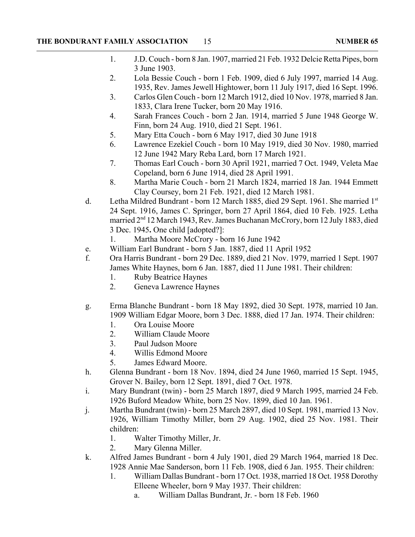- 1. J.D. Couch born 8 Jan. 1907, married 21 Feb. 1932 Delcie Retta Pipes, born 3 June 1903.
- 2. Lola Bessie Couch born 1 Feb. 1909, died 6 July 1997, married 14 Aug. 1935, Rev. James Jewell Hightower, born 11 July 1917, died 16 Sept. 1996.
- 3. Carlos Glen Couch born 12 March 1912, died 10 Nov. 1978, married 8 Jan. 1833, Clara Irene Tucker, born 20 May 1916.
- 4. Sarah Frances Couch born 2 Jan. 1914, married 5 June 1948 George W. Finn, born 24 Aug. 1910, died 21 Sept. 1961.
- 5. Mary Etta Couch born 6 May 1917, died 30 June 1918
- 6. Lawrence Ezekiel Couch born 10 May 1919, died 30 Nov. 1980, married 12 June 1942 Mary Reba Lard, born 17 March 1921.
- 7. Thomas Earl Couch born 30 April 1921, married 7 Oct. 1949, Veleta Mae Copeland, born 6 June 1914, died 28 April 1991.
- 8. Martha Marie Couch born 21 March 1824, married 18 Jan. 1944 Emmett Clay Coursey, born 21 Feb. 1921, died 12 March 1981.
- d. Letha Mildred Bundrant born 12 March 1885, died 29 Sept. 1961. She married 1st 24 Sept. 1916, James C. Springer, born 27 April 1864, died 10 Feb. 1925. Letha married 2<sup>nd</sup> 12 March 1943, Rev. James Buchanan McCrory, born 12 July 1883, died 3 Dec. 1945**.** One child [adopted?]:
	- 1. Martha Moore McCrory born 16 June 1942
- e. William Earl Bundrant born 5 Jan. 1887, died 11 April 1952
- f. Ora Harris Bundrant born 29 Dec. 1889, died 21 Nov. 1979, married 1 Sept. 1907 James White Haynes, born 6 Jan. 1887, died 11 June 1981. Their children:
	- 1. Ruby Beatrice Haynes
	- 2. Geneva Lawrence Haynes
- g. Erma Blanche Bundrant born 18 May 1892, died 30 Sept. 1978, married 10 Jan. 1909 William Edgar Moore, born 3 Dec. 1888, died 17 Jan. 1974. Their children:
	- 1. Ora Louise Moore
	- 2. William Claude Moore
	- 3. Paul Judson Moore
	- 4. Willis Edmond Moore
	- 5. James Edward Moore.
- h. Glenna Bundrant born 18 Nov. 1894, died 24 June 1960, married 15 Sept. 1945, Grover N. Bailey, born 12 Sept. 1891, died 7 Oct. 1978.
- i. Mary Bundrant (twin) born 25 March 1897, died 9 March 1995, married 24 Feb. 1926 Buford Meadow White, born 25 Nov. 1899, died 10 Jan. 1961.
- j. Martha Bundrant (twin) born 25 March 2897, died 10 Sept. 1981, married 13 Nov. 1926, William Timothy Miller, born 29 Aug. 1902, died 25 Nov. 1981. Their children:
	- 1. Walter Timothy Miller, Jr.
	- 2. Mary Glenna Miller.
- k. Alfred James Bundrant born 4 July 1901, died 29 March 1964, married 18 Dec. 1928 Annie Mae Sanderson, born 11 Feb. 1908, died 6 Jan. 1955. Their children:
	- 1. William Dallas Bundrant born 17 Oct. 1938, married 18 Oct. 1958 Dorothy Elleene Wheeler, born 9 May 1937. Their children:
		- a. William Dallas Bundrant, Jr. born 18 Feb. 1960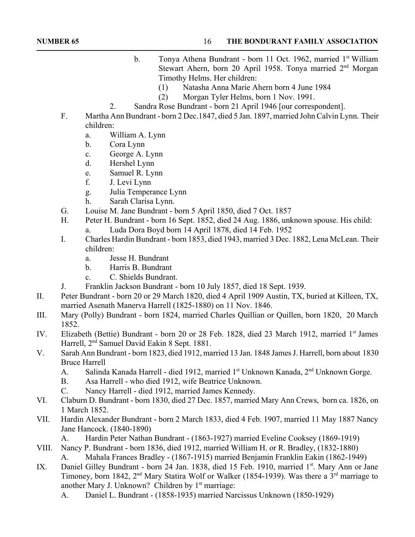- b. Tonya Athena Bundrant born 11 Oct. 1962, married 1<sup>st</sup> William Stewart Ahern, born 20 April 1958. Tonya married  $2<sup>nd</sup> Morgan$ Timothy Helms. Her children:
	- (1) Natasha Anna Marie Ahern born 4 June 1984
	- (2) Morgan Tyler Helms, born 1 Nov. 1991.
- 2. Sandra Rose Bundrant born 21 April 1946 [our correspondent].
- F. Martha Ann Bundrant born 2 Dec.1847, died 5 Jan. 1897, married John Calvin Lynn. Their children:
	- a. William A. Lynn
	- b. Cora Lynn
	- c. George A. Lynn
	- d. Hershel Lynn
	- e. Samuel R. Lynn
	- f. J. Levi Lynn
	- g. Julia Temperance Lynn
	- h. Sarah Clarisa Lynn.
- G. Louise M. Jane Bundrant born 5 April 1850, died 7 Oct. 1857
- H. Peter H. Bundrant born 16 Sept. 1852, died 24 Aug. 1886, unknown spouse. His child:
	- a. Luda Dora Boyd born 14 April 1878, died 14 Feb. 1952
- I. Charles Hardin Bundrant born 1853, died 1943, married 3 Dec. 1882, Lena McLean. Their children:
	- a. Jesse H. Bundrant
	- b. Harris B. Bundrant
	- c. C. Shields Bundrant.
- J. Franklin Jackson Bundrant born 10 July 1857, died 18 Sept. 1939.
- II. Peter Bundrant born 20 or 29 March 1820, died 4 April 1909 Austin, TX, buried at Killeen, TX, married Asenath Manerva Harrell (1825-1880) on 11 Nov. 1846.
- III. Mary (Polly) Bundrant born 1824, married Charles Quillian or Quillen, born 1820, 20 March 1852.
- IV. Elizabeth (Bettie) Bundrant born 20 or 28 Feb. 1828, died 23 March 1912, married 1<sup>st</sup> James Harrell, 2<sup>nd</sup> Samuel David Eakin 8 Sept. 1881.
- V. Sarah Ann Bundrant born 1823, died 1912, married 13 Jan. 1848 James J. Harrell, born about 1830 Bruce Harrell
	- A. Salinda Kanada Harrell died 1912, married 1<sup>st</sup> Unknown Kanada, 2<sup>nd</sup> Unknown Gorge.
	- B. Asa Harrell who died 1912, wife Beatrice Unknown.
	- C. Nancy Harrell died 1912, married James Kennedy.
- VI. Claburn D. Bundrant born 1830, died 27 Dec. 1857, married Mary Ann Crews, born ca. 1826, on 1 March 1852.
- VII. Hardin Alexander Bundrant born 2 March 1833, died 4 Feb. 1907, married 11 May 1887 Nancy Jane Hancock. (1840-1890)

A. Hardin Peter Nathan Bundrant - (1863-1927) married Eveline Cooksey (1869-1919)

- VIII. Nancy P. Bundrant born 1836, died 1912, married William H. or R. Bradley, (1832-1880) A. Mahala Frances Bradley - (1867-1915) married Benjamin Franklin Eakin (1862-1949)
- IX. Daniel Gilley Bundrant born 24 Jan. 1838, died 15 Feb. 1910, married 1st. Mary Ann or Jane Timoney, born 1842,  $2<sup>nd</sup>$  Mary Statira Wolf or Walker (1854-1939). Was there a  $3<sup>rd</sup>$  marriage to another Mary J. Unknown? Children by  $1<sup>st</sup>$  marriage:
	- A. Daniel L. Bundrant (1858-1935) married Narcissus Unknown (1850-1929)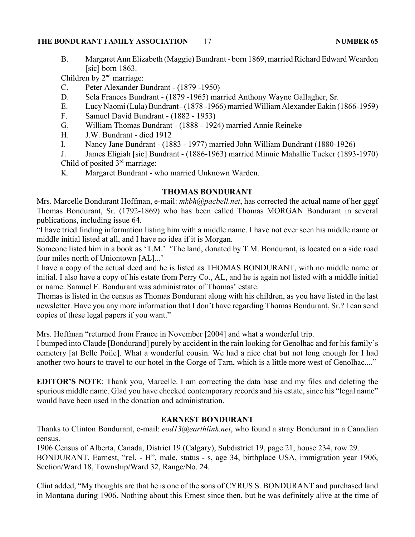### **THE BONDURANT FAMILY ASSOCIATION NUMBER 65** 17

B. Margaret Ann Elizabeth (Maggie) Bundrant - born 1869, married Richard Edward Weardon  $[sic]$  born 1863.

Children by 2<sup>nd</sup> marriage:

- C. Peter Alexander Bundrant (1879 -1950)
- D. Sela Frances Bundrant (1879 -1965) married Anthony Wayne Gallagher, Sr.
- E. Lucy Naomi (Lula) Bundrant (1878 -1966) married William Alexander Eakin (1866-1959)
- F. Samuel David Bundrant (1882 1953)
- G. William Thomas Bundrant (1888 1924) married Annie Reineke
- H. J.W. Bundrant died 1912
- I. Nancy Jane Bundrant (1883 1977) married John William Bundrant (1880-1926)

J. James Eligiah [sic] Bundrant - (1886-1963) married Minnie Mahallie Tucker (1893-1970) Child of posited  $3<sup>rd</sup>$  marriage:

K. Margaret Bundrant - who married Unknown Warden.

### **THOMAS BONDURANT**

Mrs. Marcelle Bondurant Hoffman, e-mail: *mkbh@pacbell.net*, has corrected the actual name of her gggf Thomas Bondurant, Sr. (1792-1869) who has been called Thomas MORGAN Bondurant in several publications, including issue 64.

"I have tried finding information listing him with a middle name. I have not ever seen his middle name or middle initial listed at all, and I have no idea if it is Morgan.

Someone listed him in a book as 'T.M.' 'The land, donated by T.M. Bondurant, is located on a side road four miles north of Uniontown [AL]...'

I have a copy of the actual deed and he is listed as THOMAS BONDURANT, with no middle name or initial. I also have a copy of his estate from Perry Co., AL, and he is again not listed with a middle initial or name. Samuel F. Bondurant was administrator of Thomas' estate.

Thomas is listed in the census as Thomas Bondurant along with his children, as you have listed in the last newsletter. Have you any more information that I don't have regarding Thomas Bondurant, Sr.? I can send copies of these legal papers if you want."

Mrs. Hoffman "returned from France in November [2004] and what a wonderful trip.

I bumped into Claude [Bondurand] purely by accident in the rain looking for Genolhac and for his family's cemetery [at Belle Poile]. What a wonderful cousin. We had a nice chat but not long enough for I had another two hours to travel to our hotel in the Gorge of Tarn, which is a little more west of Genolhac...."

**EDITOR'S NOTE**: Thank you, Marcelle. I am correcting the data base and my files and deleting the spurious middle name. Glad you have checked contemporary records and his estate, since his "legal name" would have been used in the donation and administration.

### **EARNEST BONDURANT**

Thanks to Clinton Bondurant, e-mail: *eod13@earthlink.net*, who found a stray Bondurant in a Canadian census.

1906 Census of Alberta, Canada, District 19 (Calgary), Subdistrict 19, page 21, house 234, row 29. BONDURANT, Earnest, "rel. - H", male, status - s, age 34, birthplace USA, immigration year 1906, Section/Ward 18, Township/Ward 32, Range/No. 24.

Clint added, "My thoughts are that he is one of the sons of CYRUS S. BONDURANT and purchased land in Montana during 1906. Nothing about this Ernest since then, but he was definitely alive at the time of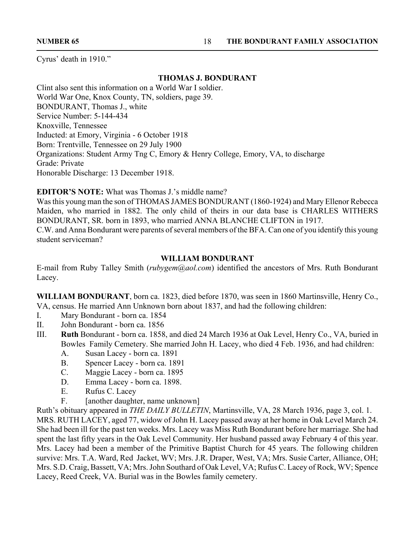Cyrus' death in 1910."

### **THOMAS J. BONDURANT**

Clint also sent this information on a World War I soldier. World War One, Knox County, TN, soldiers, page 39. BONDURANT, Thomas J., white Service Number: 5-144-434 Knoxville, Tennessee Inducted: at Emory, Virginia - 6 October 1918 Born: Trentville, Tennessee on 29 July 1900 Organizations: Student Army Tng C, Emory & Henry College, Emory, VA, to discharge Grade: Private Honorable Discharge: 13 December 1918.

**EDITOR'S NOTE:** What was Thomas J.'s middle name?

Was this young man the son of THOMAS JAMES BONDURANT (1860-1924) and Mary Ellenor Rebecca Maiden, who married in 1882. The only child of theirs in our data base is CHARLES WITHERS BONDURANT, SR. born in 1893, who married ANNA BLANCHE CLIFTON in 1917. C.W. and Anna Bondurant were parents of several members of the BFA. Can one of you identify this young student serviceman?

### **WILLIAM BONDURANT**

E-mail from Ruby Talley Smith (*rubygem@aol.com*) identified the ancestors of Mrs. Ruth Bondurant Lacey.

**WILLIAM BONDURANT**, born ca. 1823, died before 1870, was seen in 1860 Martinsville, Henry Co., VA, census. He married Ann Unknown born about 1837, and had the following children:

- I. Mary Bondurant born ca. 1854
- II. John Bondurant born ca. 1856
- III. **Ruth** Bondurant born ca. 1858, and died 24 March 1936 at Oak Level, Henry Co., VA, buried in Bowles Family Cemetery. She married John H. Lacey, who died 4 Feb. 1936, and had children:
	- A. Susan Lacey born ca. 1891
	- B. Spencer Lacey born ca. 1891
	- C. Maggie Lacey born ca. 1895
	- D. Emma Lacey born ca. 1898.
	- E. Rufus C. Lacey
	- F. [another daughter, name unknown]

Ruth's obituary appeared in *THE DAILY BULLETIN*, Martinsville, VA, 28 March 1936, page 3, col. 1. MRS. RUTH LACEY, aged 77, widow of John H. Lacey passed away at her home in Oak Level March 24. She had been ill for the past ten weeks. Mrs. Lacey was Miss Ruth Bondurant before her marriage. She had spent the last fifty years in the Oak Level Community. Her husband passed away February 4 of this year. Mrs. Lacey had been a member of the Primitive Baptist Church for 45 years. The following children survive: Mrs. T.A. Ward, Red Jacket, WV; Mrs. J.R. Draper, West, VA; Mrs. Susie Carter, Alliance, OH; Mrs. S.D. Craig, Bassett, VA; Mrs. John Southard of Oak Level, VA; Rufus C. Lacey of Rock, WV; Spence Lacey, Reed Creek, VA. Burial was in the Bowles family cemetery.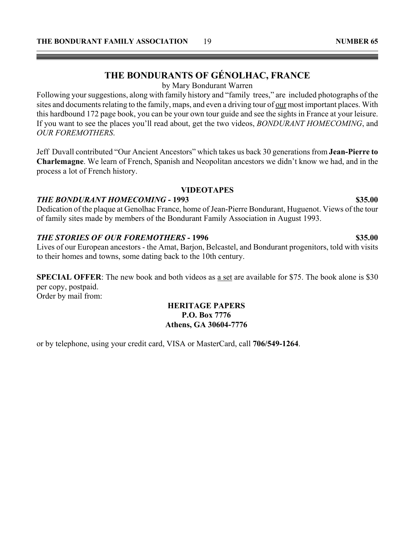# **THE BONDURANTS OF GÉNOLHAC, FRANCE**

by Mary Bondurant Warren

Following your suggestions, along with family history and "family trees," are included photographs of the sites and documents relating to the family, maps, and even a driving tour of our most important places. With this hardbound 172 page book, you can be your own tour guide and see the sights in France at your leisure. If you want to see the places you'll read about, get the two videos, *BONDURANT HOMECOMING*, and *OUR FOREMOTHERS*.

Jeff Duvall contributed "Our Ancient Ancestors" which takes us back 30 generations from **Jean-Pierre to Charlemagne**. We learn of French, Spanish and Neopolitan ancestors we didn't know we had, and in the process a lot of French history.

### **VIDEOTAPES**

### *THE BONDURANT HOMECOMING* **- 1993 \$35.00**

Dedication of the plaque at Genolhac France, home of Jean-Pierre Bondurant, Huguenot. Views of the tour of family sites made by members of the Bondurant Family Association in August 1993.

### *THE STORIES OF OUR FOREMOTHERS* - 1996 **\$35.00** \$35.00

Lives of our European ancestors - the Amat, Barjon, Belcastel, and Bondurant progenitors, told with visits to their homes and towns, some dating back to the 10th century.

**SPECIAL OFFER:** The new book and both videos as a set are available for \$75. The book alone is \$30 per copy, postpaid. Order by mail from:

### **HERITAGE PAPERS P.O. Box 7776 Athens, GA 30604-7776**

or by telephone, using your credit card, VISA or MasterCard, call **706/549-1264**.